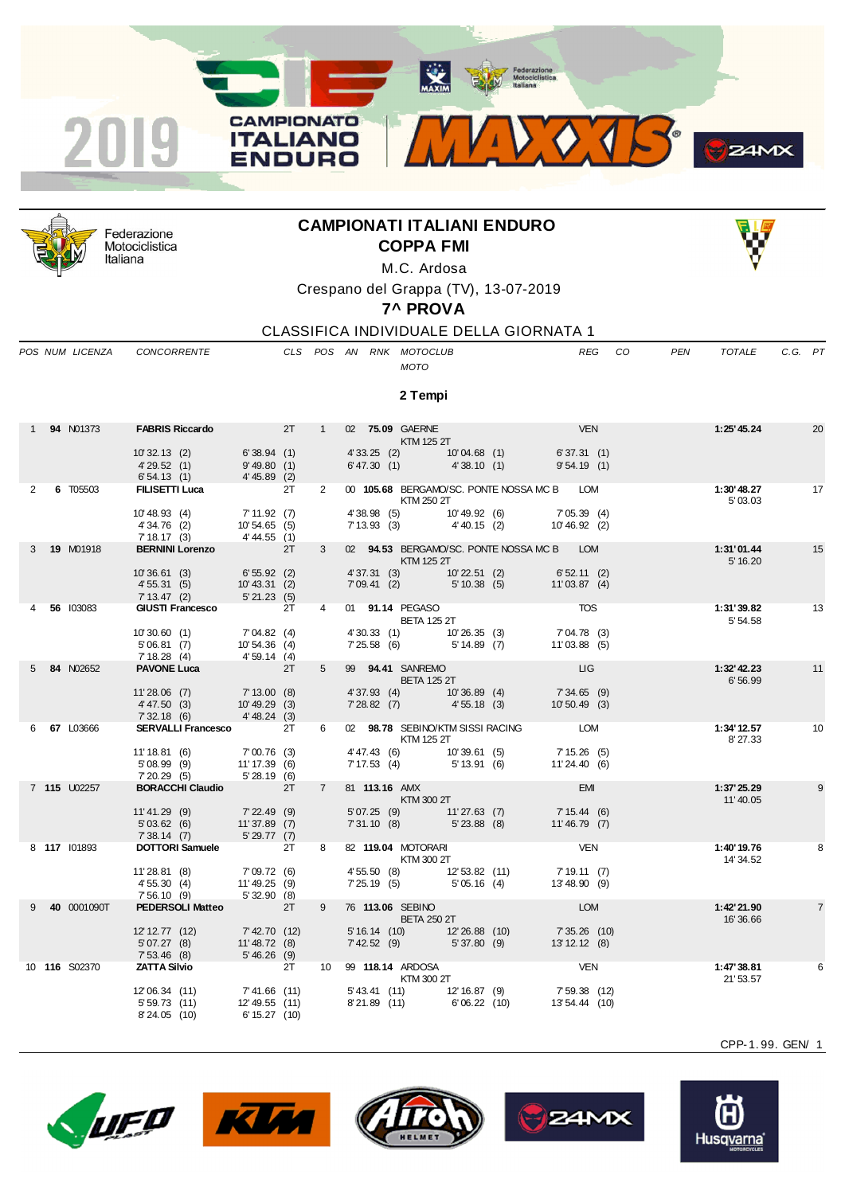



Federazione Motociclistica Italiana

## **CAMPIONATI ITALIANI ENDURO COPPA FMI**



M.C. Ardosa Crespano del Grappa (TV), 13-07-2019

**7^ PROVA**

CLASSIFICA INDIVIDUALE DELLA GIORNATA 1

*POS NUM LICENZA CONCORRENTE CLS POS AN RNK MOTOCLUB REG CO PEN TOTALE C.G. PT*

## *MOTO*

**2 Tempi**

|              | 1 94 N01373   | <b>FABRIS Riccardo</b> 2T                               |                               |    | 1              | 02 75.09 GAERNE  |                                    | KTM 125 2T                                                                                    |            | 1:25' 45.24             | 20              |
|--------------|---------------|---------------------------------------------------------|-------------------------------|----|----------------|------------------|------------------------------------|-----------------------------------------------------------------------------------------------|------------|-------------------------|-----------------|
|              |               | 10'32.13(2)<br>4'29.52(1)                               | 6'38.94(1)<br>9'49.80(1)      |    |                |                  |                                    | 4'33.25 (2) 10'04.68 (1) 6'37.31 (1)<br>6'47.30 (1) 4'38.10 (1) 9'54.19 (1)                   |            |                         |                 |
|              |               | 6'54.13 (1) 4'45.89 (2)                                 |                               |    |                |                  |                                    |                                                                                               |            |                         |                 |
| $\mathbf{2}$ | 6 T05503      | <b>FILISETTI Luca</b>                                   |                               | 2T | $\overline{2}$ |                  | KTM 250 2T                         | 00 105.68 BERGAMO/SC. PONTE NOSSA MC B LOM                                                    |            | 1:30'48.27<br>5'03.03   | $\overline{17}$ |
|              |               | 10' 48.93 (4) 7' 11.92 (7)                              |                               |    |                |                  |                                    | 4' 38.98 (5) 10' 49.92 (6) 7' 05.39 (4)<br>7' 13.93 (3) 4' 40.15 (2) 10' 46.92 (2)            |            |                         |                 |
|              |               | 4' 34.76 (2)<br>7'18.17(3)                              | 10'54.65 (5)<br>4' 44.55 (1)  |    |                |                  |                                    |                                                                                               |            |                         |                 |
|              | 3 19 M01918   | <b>BERNINI Lorenzo</b>                                  | $\overline{\phantom{a}}$ 2T   |    | $3^{\circ}$    |                  | KTM 125 2T                         | 02 94.53 BERGAMO/SC. PONTE NOSSA MC B LOM                                                     |            | 1:31'01.44<br>5' 16.20  | $\sim$ 15       |
|              |               | 10'36.61 (3)                                            | 6'55.92(2)                    |    |                |                  |                                    | 4'37.31 (3) 10'22.51 (2) 6'52.11 (2)                                                          |            |                         |                 |
|              |               | 4' 55.31 (5) 10' 43.31 (2)<br>7' 13.47 (2) 5' 21.23 (5) |                               |    |                |                  |                                    | 7'09.41 (2) 5'10.38 (5) 11'03.87 (4)                                                          |            |                         |                 |
|              | 4 56 103083   | 7' 13.47 (2)<br>GIUSTI Francesco 2T                     |                               |    | $\overline{4}$ | 01 91.14 PEGASO  |                                    | <b>TOS</b>                                                                                    |            | 1:31'39.82              | 13              |
|              |               |                                                         |                               |    |                |                  | <b>BETA 125 2T</b>                 |                                                                                               |            | 5' 54.58                |                 |
|              |               | 10'30.60 (1)                                            | 7'04.82 (4)                   |    |                |                  |                                    | 4' 30.33 (1) 10' 26.35 (3) 7' 04.78 (3)<br>7' 25.58 (6) 5' 14.89 (7) 11' 03.88 (5)            |            |                         |                 |
|              |               | 5'06.81(7)<br>7'18.28(4)                                | 10'54.36(4)<br>4'59.14(4)     |    |                |                  |                                    |                                                                                               |            |                         |                 |
|              | 84 N02652     | <b>PAVONE Luca</b>                                      |                               | 2T | 5              | 99 94.41 SANREMO |                                    |                                                                                               |            | $1:32'$ 42.23           | 11              |
|              |               |                                                         |                               |    |                |                  | <b>EXAMPLE BETA 125 2T</b>         |                                                                                               |            | 6'56.99                 |                 |
|              |               | 11'28.06 (7) 7'13.00 (8)<br>4'47.50 (3)                 | $10' 49.29$ (3)               |    |                |                  |                                    | 4' 37.93 (4) 10' 36.89 (4) 7' 34.65 (9)<br>7' 28.82 (7) 4' 55.18 (3) 10' 50.49 (3)            |            |                         |                 |
|              |               | 7'32.18(6)                                              | 4'48.24(3)                    |    |                |                  |                                    |                                                                                               |            |                         |                 |
|              | 6 67 L03666   | <b>SERVALLI Francesco</b> 2T                            |                               |    | 6 —            |                  | <b>KTM 125 2T</b>                  | 02 98.78 SEBINO/KTM SISSI RACING LOM                                                          |            | 1:34' 12.57<br>8' 27.33 | $\overline{10}$ |
|              |               | 11'18.81 (6) 7'00.76 (3)                                |                               |    |                |                  |                                    | $4'47.43$ (6) $10'39.61$ (5) $7'15.26$ (5)<br>$7'17.53$ (4) $5'13.91$ (6) $11'24.40$ (6)      |            |                         |                 |
|              |               | 5'08.99 (9)<br>7' 20.29 (5)                             | 11' 17.39 (6)<br>5' 28.19 (6) |    |                |                  |                                    |                                                                                               |            |                         |                 |
|              | 7 115 U02257  | <b>BORACCHI Claudio</b> 2T                              |                               |    | $7^{\circ}$    | 81 113.16 AMX    | <b>KTM 300 2T</b>                  |                                                                                               | <b>EMI</b> | 1:37' 25.29<br>11'40.05 | 9               |
|              |               | 11'41.29 (9)                                            | 7'22.49(9)                    |    |                |                  |                                    | 5'07.25 (9) 11'27.63 (7) 7'15.44 (6)<br>7'31.10 (8) 5'23.88 (8) 11'46.79 (7)                  |            |                         |                 |
|              |               | 5'03.62(6)<br>7'38.14(7)                                | $11'37.89$ (7)<br>5'29.77(7)  |    |                |                  | $7^{\circ}31.10^{(8)}$ 5'23.88 (8) |                                                                                               |            |                         |                 |
|              | 8 117 101893  | <b>DOTTORI Samuele</b> 2T                               |                               |    | 8              |                  |                                    | 82 119.04 MOTORARI VEN                                                                        |            | 1:40'19.76              | 8               |
|              |               |                                                         |                               |    |                |                  | <b>KTM 300 2T</b>                  |                                                                                               |            | 14' 34.52               |                 |
|              |               | 11'28.81 (8)<br>4'55.30(4)                              | 7'09.72 (6)<br>11'49.25 (9)   |    |                |                  |                                    | 4' 55.50 (8) 12' 53.82 (11) 7' 19.11 (7)<br>7' 25.19 (5) 5' 05.16 (4) 13' 48.90 (9)           |            |                         |                 |
|              |               | 7'56.10(9)                                              | 5'32.90 (8)                   |    |                |                  |                                    |                                                                                               |            |                         |                 |
|              | 9 40 0001090T | <b>PEDERSOLI Matteo</b> 2T                              |                               |    | $9^{\circ}$    | 76 113.06 SEBINO | BETA 250 2T                        | <b>EXAMPLE AND STREET AND LONE</b>                                                            |            | 1:42'21.90<br>16'36.66  | $\overline{7}$  |
|              |               | 12' 12.77 (12)                                          | 7'42.70 (12)                  |    |                |                  |                                    | 5' 16.14 (10) 12' 26.88 (10) 7' 35.26 (10)                                                    |            |                         |                 |
|              |               |                                                         |                               |    |                |                  |                                    | 7'42.52 (9) 5'37.80 (9) 13'12.12 (8)                                                          |            |                         |                 |
|              | 10 116 S02370 | <b>ZATTA Silvio</b> 2T                                  |                               |    |                |                  |                                    | 10 99 118.14 ARDOSA VEN                                                                       |            | 1:47'38.81              | 6               |
|              |               |                                                         |                               |    |                |                  | KTM 300 2T                         |                                                                                               |            | 21'53.57                |                 |
|              |               | 12'06.34 (11)<br>5'59.73(11)                            | 7'41.66 (11)<br>12'49.55 (11) |    |                |                  |                                    | $5'43.41$ (11) $12'16.87$ (9) $7'59.38$ (12)<br>$8'21.89$ (11) $6'06.22$ (10) $13'54.44$ (10) |            |                         |                 |
|              |               | 8'24.05 (10)                                            | 6' 15.27 (10)                 |    |                |                  |                                    |                                                                                               |            |                         |                 |

CPP-1. 99. GEN/ 1